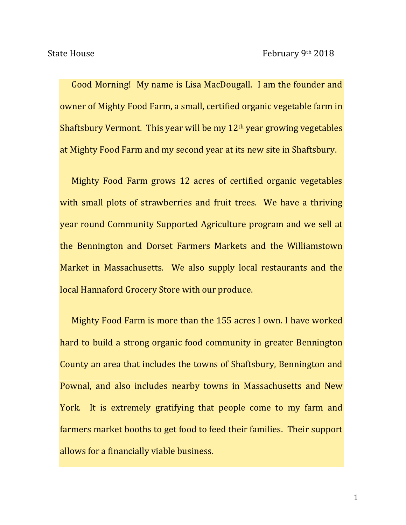Good Morning! My name is Lisa MacDougall. I am the founder and owner of Mighty Food Farm, a small, certified organic vegetable farm in Shaftsbury Vermont. This year will be my 12th year growing vegetables at Mighty Food Farm and my second year at its new site in Shaftsbury.

Mighty Food Farm grows 12 acres of certified organic vegetables with small plots of strawberries and fruit trees. We have a thriving year round Community Supported Agriculture program and we sell at the Bennington and Dorset Farmers Markets and the Williamstown Market in Massachusetts. We also supply local restaurants and the local Hannaford Grocery Store with our produce.

Mighty Food Farm is more than the 155 acres I own. I have worked hard to build a strong organic food community in greater Bennington County an area that includes the towns of Shaftsbury, Bennington and Pownal, and also includes nearby towns in Massachusetts and New York. It is extremely gratifying that people come to my farm and farmers market booths to get food to feed their families. Their support allows for a financially viable business.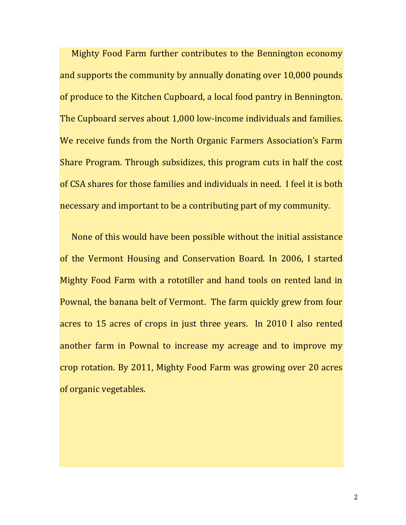Mighty Food Farm further contributes to the Bennington economy and supports the community by annually donating over 10,000 pounds of produce to the Kitchen Cupboard, a local food pantry in Bennington. The Cupboard serves about 1,000 low-income individuals and families. We receive funds from the North Organic Farmers Association's Farm Share Program. Through subsidizes, this program cuts in half the cost of CSA shares for those families and individuals in need. I feel it is both necessary and important to be a contributing part of my community.

None of this would have been possible without the initial assistance of the Vermont Housing and Conservation Board. In 2006, I started Mighty Food Farm with a rototiller and hand tools on rented land in Pownal, the banana belt of Vermont. The farm quickly grew from four acres to 15 acres of crops in just three years. In 2010 I also rented another farm in Pownal to increase my acreage and to improve my crop rotation. By 2011, Mighty Food Farm was growing over 20 acres of organic vegetables.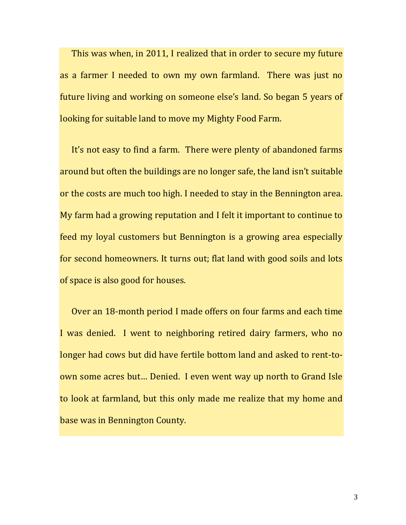This was when, in 2011, I realized that in order to secure my future as a farmer I needed to own my own farmland. There was just no future living and working on someone else's land. So began 5 years of looking for suitable land to move my Mighty Food Farm.

It's not easy to find a farm. There were plenty of abandoned farms around but often the buildings are no longer safe, the land isn't suitable or the costs are much too high. I needed to stay in the Bennington area. My farm had a growing reputation and I felt it important to continue to feed my loyal customers but Bennington is a growing area especially for second homeowners. It turns out; flat land with good soils and lots of space is also good for houses.

Over an 18-month period I made offers on four farms and each time I was denied. I went to neighboring retired dairy farmers, who no longer had cows but did have fertile bottom land and asked to rent-toown some acres but… Denied. I even went way up north to Grand Isle to look at farmland, but this only made me realize that my home and base was in Bennington County.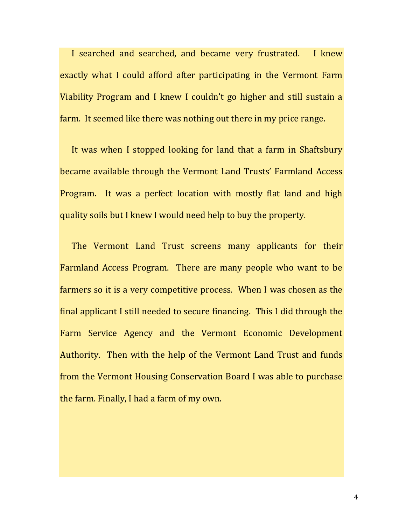I searched and searched, and became very frustrated. I knew exactly what I could afford after participating in the Vermont Farm Viability Program and I knew I couldn't go higher and still sustain a farm. It seemed like there was nothing out there in my price range.

It was when I stopped looking for land that a farm in Shaftsbury became available through the Vermont Land Trusts' Farmland Access Program. It was a perfect location with mostly flat land and high quality soils but I knew I would need help to buy the property.

The Vermont Land Trust screens many applicants for their Farmland Access Program. There are many people who want to be farmers so it is a very competitive process. When I was chosen as the final applicant I still needed to secure financing. This I did through the Farm Service Agency and the Vermont Economic Development Authority. Then with the help of the Vermont Land Trust and funds from the Vermont Housing Conservation Board I was able to purchase the farm. Finally, I had a farm of my own.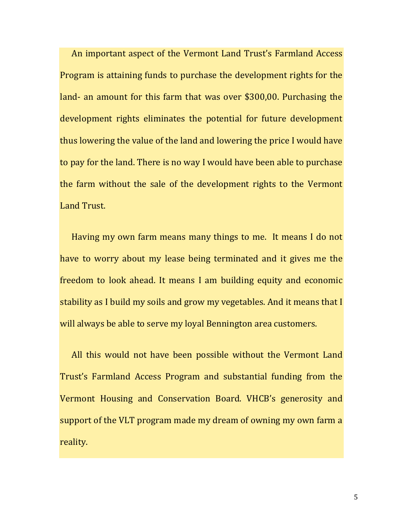An important aspect of the Vermont Land Trust's Farmland Access Program is attaining funds to purchase the development rights for the land- an amount for this farm that was over \$300,00. Purchasing the development rights eliminates the potential for future development thus lowering the value of the land and lowering the price I would have to pay for the land. There is no way I would have been able to purchase the farm without the sale of the development rights to the Vermont Land Trust.

Having my own farm means many things to me. It means I do not have to worry about my lease being terminated and it gives me the freedom to look ahead. It means I am building equity and economic stability as I build my soils and grow my vegetables. And it means that I will always be able to serve my loyal Bennington area customers.

All this would not have been possible without the Vermont Land Trust's Farmland Access Program and substantial funding from the Vermont Housing and Conservation Board. VHCB's generosity and support of the VLT program made my dream of owning my own farm a reality.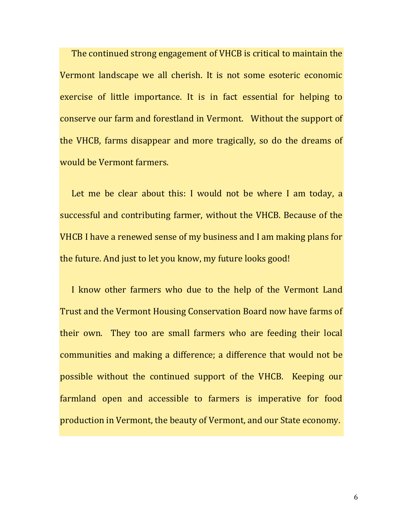The continued strong engagement of VHCB is critical to maintain the Vermont landscape we all cherish. It is not some esoteric economic exercise of little importance. It is in fact essential for helping to conserve our farm and forestland in Vermont. Without the support of the VHCB, farms disappear and more tragically, so do the dreams of would be Vermont farmers.

Let me be clear about this: I would not be where I am today, a successful and contributing farmer, without the VHCB. Because of the VHCB I have a renewed sense of my business and I am making plans for the future. And just to let you know, my future looks good!

I know other farmers who due to the help of the Vermont Land Trust and the Vermont Housing Conservation Board now have farms of their own. They too are small farmers who are feeding their local communities and making a difference; a difference that would not be possible without the continued support of the VHCB. Keeping our farmland open and accessible to farmers is imperative for food production in Vermont, the beauty of Vermont, and our State economy.